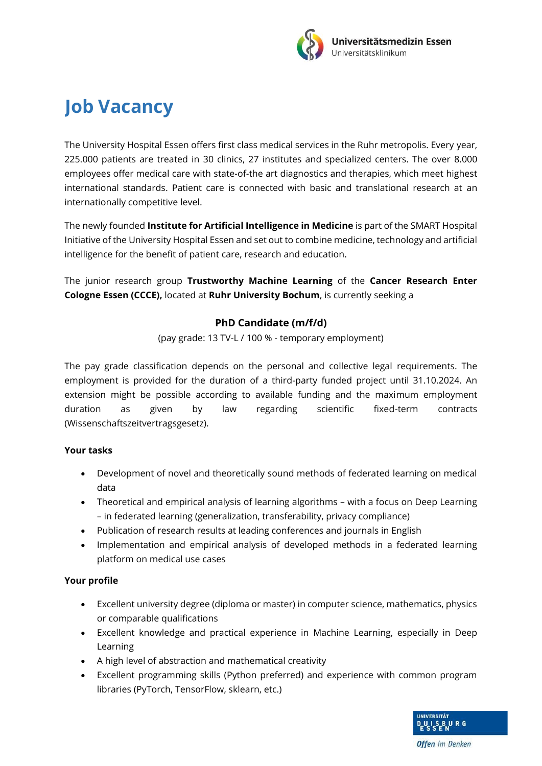

## **Job Vacancy**

The University Hospital Essen offers first class medical services in the Ruhr metropolis. Every year, 225.000 patients are treated in 30 clinics, 27 institutes and specialized centers. The over 8.000 employees offer medical care with state-of-the art diagnostics and therapies, which meet highest international standards. Patient care is connected with basic and translational research at an internationally competitive level.

The newly founded **Institute for Artificial Intelligence in Medicine** is part of the SMART Hospital Initiative of the University Hospital Essen and set out to combine medicine, technology and artificial intelligence for the benefit of patient care, research and education.

The junior research group **Trustworthy Machine Learning** of the **Cancer Research Enter Cologne Essen (CCCE),** located at **Ruhr University Bochum**, is currently seeking a

## **PhD Candidate (m/f/d)**

(pay grade: 13 TV-L / 100 % - temporary employment)

The pay grade classification depends on the personal and collective legal requirements. The employment is provided for the duration of a third-party funded project until 31.10.2024. An extension might be possible according to available funding and the maximum employment duration as given by law regarding scientific fixed-term contracts (Wissenschaftszeitvertragsgesetz).

## **Your tasks**

- Development of novel and theoretically sound methods of federated learning on medical data
- Theoretical and empirical analysis of learning algorithms with a focus on Deep Learning – in federated learning (generalization, transferability, privacy compliance)
- Publication of research results at leading conferences and journals in English
- Implementation and empirical analysis of developed methods in a federated learning platform on medical use cases

## **Your profile**

- Excellent university degree (diploma or master) in computer science, mathematics, physics or comparable qualifications
- Excellent knowledge and practical experience in Machine Learning, especially in Deep Learning
- A high level of abstraction and mathematical creativity
- Excellent programming skills (Python preferred) and experience with common program libraries (PyTorch, TensorFlow, sklearn, etc.)